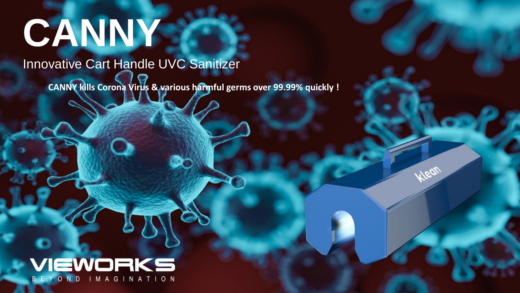# **CANNY**

## Innovative Cart Handle UVC Sanitizer

**CANNY kills Corona Virus & various harmful germs over 99.99% quickly !** 

## VIEWORKS B E Y O N D I M A G I N A T I O N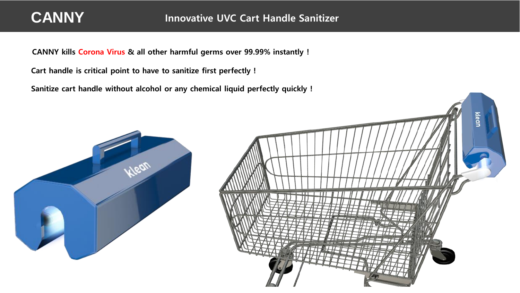## **CANNY**

CANNY kills Corona Virus & all other harmful germs over 99.99% instantly !

Cart handle is critical point to have to sanitize first perfectly !

Sanitize cart handle without alcohol or any chemical liquid perfectly quickly !



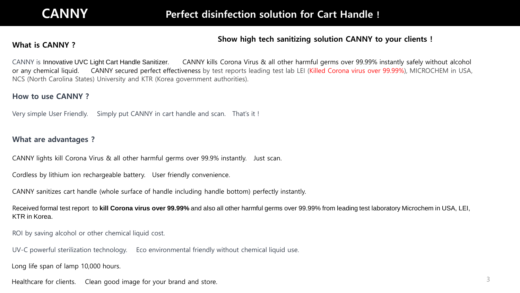#### Show high tech sanitizing solution CANNY to your clients !

### What is CANNY?

CANNY is Innovative UVC Light Cart Handle Sanitizer. CANNY kills Corona Virus & all other harmful germs over 99.99% instantly safely without alcohol or any chemical liquid. CANNY secured perfect effectiveness by test reports leading test lab LEI (Killed Corona virus over 99.99%), MICROCHEM in USA, NCS (North Carolina States) University and KTR (Korea government authorities).

#### How to use CANNY ?

Very simple User Friendly. Simply put CANNY in cart handle and scan. That's it !

#### What are advantages ?

CANNY lights kill Corona Virus & all other harmful germs over 99.9% instantly. Just scan.

Cordless by lithium ion rechargeable battery. User friendly convenience.

CANNY sanitizes cart handle (whole surface of handle including handle bottom) perfectly instantly.

Received formal test report to **kill Corona virus over 99.99%** and also all other harmful germs over 99.99% from leading test laboratory Microchem in USA, LEI, KTR in Korea.

ROI by saving alcohol or other chemical liquid cost.

UV-C powerful sterilization technology. Eco environmental friendly without chemical liquid use.

Long life span of lamp 10,000 hours.

Healthcare for clients. Clean good image for your brand and store.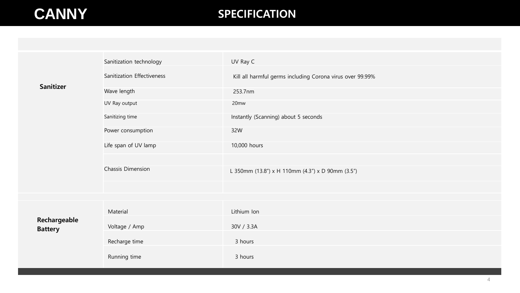## **CANNY** SPECIFICATION

|  | <b>Sanitizer</b>               | Sanitization technology    | UV Ray C                                                  |
|--|--------------------------------|----------------------------|-----------------------------------------------------------|
|  |                                | Sanitization Effectiveness | Kill all harmful germs including Corona virus over 99.99% |
|  |                                | Wave length                | 253.7nm                                                   |
|  |                                | UV Ray output              | 20 <sub>mw</sub>                                          |
|  |                                | Sanitizing time            | Instantly (Scanning) about 5 seconds                      |
|  |                                | Power consumption          | 32W                                                       |
|  |                                | Life span of UV lamp       | 10,000 hours                                              |
|  |                                |                            |                                                           |
|  |                                | Chassis Dimension          | L 350mm (13.8") x H 110mm (4.3") x D 90mm (3.5")          |
|  |                                |                            |                                                           |
|  |                                |                            |                                                           |
|  | Rechargeable<br><b>Battery</b> | Material                   | Lithium Ion                                               |
|  |                                | Voltage / Amp              | 30V / 3.3A                                                |
|  |                                | Recharge time              | 3 hours                                                   |
|  |                                | Running time               | 3 hours                                                   |
|  |                                |                            |                                                           |